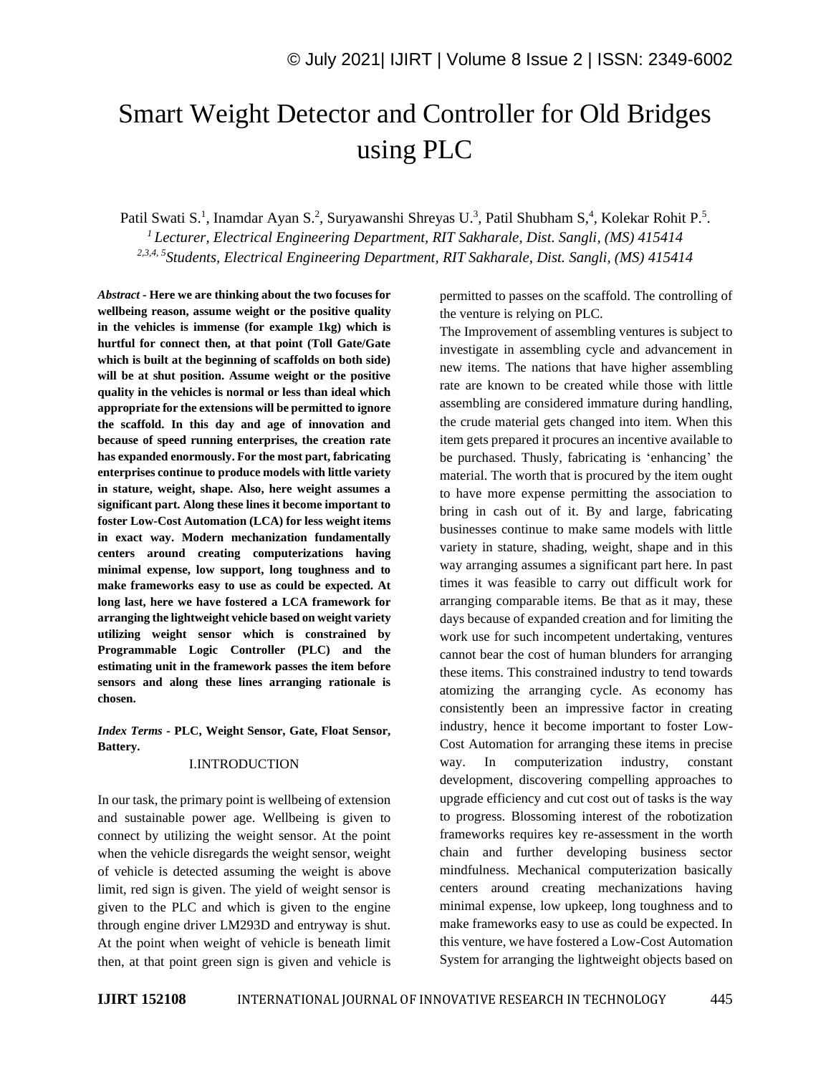# Smart Weight Detector and Controller for Old Bridges using PLC

Patil Swati S.<sup>1</sup>, Inamdar Ayan S.<sup>2</sup>, Suryawanshi Shreyas U.<sup>3</sup>, Patil Shubham S,<sup>4</sup>, Kolekar Rohit P.<sup>5</sup>. *<sup>1</sup>Lecturer, Electrical Engineering Department, RIT Sakharale, Dist. Sangli, (MS) 415414 2,3,4, 5 Students, Electrical Engineering Department, RIT Sakharale, Dist. Sangli, (MS) 415414*

*Abstract -* **Here we are thinking about the two focuses for wellbeing reason, assume weight or the positive quality in the vehicles is immense (for example 1kg) which is hurtful for connect then, at that point (Toll Gate/Gate which is built at the beginning of scaffolds on both side) will be at shut position. Assume weight or the positive quality in the vehicles is normal or less than ideal which appropriate for the extensions will be permitted to ignore the scaffold. In this day and age of innovation and because of speed running enterprises, the creation rate has expanded enormously. For the most part, fabricating enterprises continue to produce models with little variety in stature, weight, shape. Also, here weight assumes a significant part. Along these lines it become important to foster Low-Cost Automation (LCA) for less weight items in exact way. Modern mechanization fundamentally centers around creating computerizations having minimal expense, low support, long toughness and to make frameworks easy to use as could be expected. At long last, here we have fostered a LCA framework for arranging the lightweight vehicle based on weight variety utilizing weight sensor which is constrained by Programmable Logic Controller (PLC) and the estimating unit in the framework passes the item before sensors and along these lines arranging rationale is chosen.**

*Index Terms -* **PLC, Weight Sensor, Gate, Float Sensor, Battery.**

#### I.INTRODUCTION

In our task, the primary point is wellbeing of extension and sustainable power age. Wellbeing is given to connect by utilizing the weight sensor. At the point when the vehicle disregards the weight sensor, weight of vehicle is detected assuming the weight is above limit, red sign is given. The yield of weight sensor is given to the PLC and which is given to the engine through engine driver LM293D and entryway is shut. At the point when weight of vehicle is beneath limit then, at that point green sign is given and vehicle is permitted to passes on the scaffold. The controlling of the venture is relying on PLC.

The Improvement of assembling ventures is subject to investigate in assembling cycle and advancement in new items. The nations that have higher assembling rate are known to be created while those with little assembling are considered immature during handling, the crude material gets changed into item. When this item gets prepared it procures an incentive available to be purchased. Thusly, fabricating is 'enhancing' the material. The worth that is procured by the item ought to have more expense permitting the association to bring in cash out of it. By and large, fabricating businesses continue to make same models with little variety in stature, shading, weight, shape and in this way arranging assumes a significant part here. In past times it was feasible to carry out difficult work for arranging comparable items. Be that as it may, these days because of expanded creation and for limiting the work use for such incompetent undertaking, ventures cannot bear the cost of human blunders for arranging these items. This constrained industry to tend towards atomizing the arranging cycle. As economy has consistently been an impressive factor in creating industry, hence it become important to foster Low-Cost Automation for arranging these items in precise way. In computerization industry, constant development, discovering compelling approaches to upgrade efficiency and cut cost out of tasks is the way to progress. Blossoming interest of the robotization frameworks requires key re-assessment in the worth chain and further developing business sector mindfulness. Mechanical computerization basically centers around creating mechanizations having minimal expense, low upkeep, long toughness and to make frameworks easy to use as could be expected. In this venture, we have fostered a Low-Cost Automation System for arranging the lightweight objects based on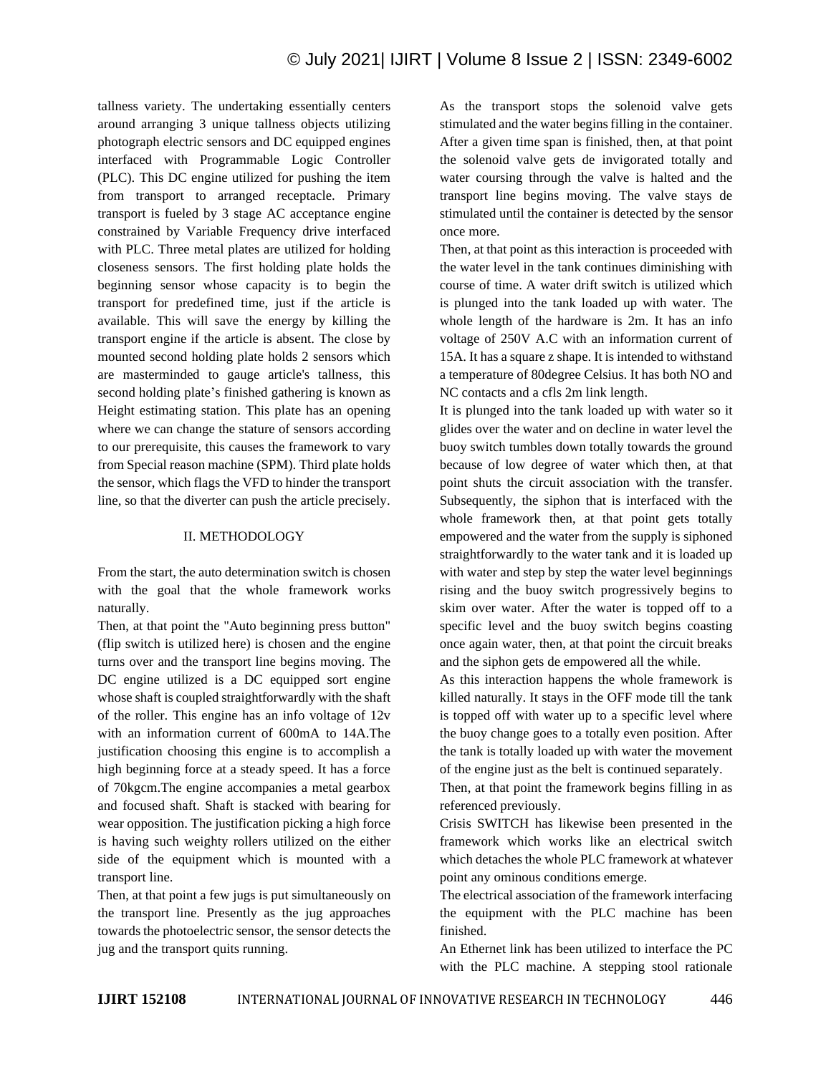tallness variety. The undertaking essentially centers around arranging 3 unique tallness objects utilizing photograph electric sensors and DC equipped engines interfaced with Programmable Logic Controller (PLC). This DC engine utilized for pushing the item from transport to arranged receptacle. Primary transport is fueled by 3 stage AC acceptance engine constrained by Variable Frequency drive interfaced with PLC. Three metal plates are utilized for holding closeness sensors. The first holding plate holds the beginning sensor whose capacity is to begin the transport for predefined time, just if the article is available. This will save the energy by killing the transport engine if the article is absent. The close by mounted second holding plate holds 2 sensors which are masterminded to gauge article's tallness, this second holding plate's finished gathering is known as Height estimating station. This plate has an opening where we can change the stature of sensors according to our prerequisite, this causes the framework to vary from Special reason machine (SPM). Third plate holds the sensor, which flags the VFD to hinder the transport line, so that the diverter can push the article precisely.

## II. METHODOLOGY

From the start, the auto determination switch is chosen with the goal that the whole framework works naturally.

Then, at that point the "Auto beginning press button" (flip switch is utilized here) is chosen and the engine turns over and the transport line begins moving. The DC engine utilized is a DC equipped sort engine whose shaft is coupled straightforwardly with the shaft of the roller. This engine has an info voltage of 12v with an information current of 600mA to 14A.The justification choosing this engine is to accomplish a high beginning force at a steady speed. It has a force of 70kgcm.The engine accompanies a metal gearbox and focused shaft. Shaft is stacked with bearing for wear opposition. The justification picking a high force is having such weighty rollers utilized on the either side of the equipment which is mounted with a transport line.

Then, at that point a few jugs is put simultaneously on the transport line. Presently as the jug approaches towards the photoelectric sensor, the sensor detects the jug and the transport quits running.

As the transport stops the solenoid valve gets stimulated and the water begins filling in the container. After a given time span is finished, then, at that point the solenoid valve gets de invigorated totally and water coursing through the valve is halted and the transport line begins moving. The valve stays de stimulated until the container is detected by the sensor once more.

Then, at that point as this interaction is proceeded with the water level in the tank continues diminishing with course of time. A water drift switch is utilized which is plunged into the tank loaded up with water. The whole length of the hardware is 2m. It has an info voltage of 250V A.C with an information current of 15A. It has a square z shape. It is intended to withstand a temperature of 80degree Celsius. It has both NO and NC contacts and a cfls 2m link length.

It is plunged into the tank loaded up with water so it glides over the water and on decline in water level the buoy switch tumbles down totally towards the ground because of low degree of water which then, at that point shuts the circuit association with the transfer. Subsequently, the siphon that is interfaced with the whole framework then, at that point gets totally empowered and the water from the supply is siphoned straightforwardly to the water tank and it is loaded up with water and step by step the water level beginnings rising and the buoy switch progressively begins to skim over water. After the water is topped off to a specific level and the buoy switch begins coasting once again water, then, at that point the circuit breaks and the siphon gets de empowered all the while.

As this interaction happens the whole framework is killed naturally. It stays in the OFF mode till the tank is topped off with water up to a specific level where the buoy change goes to a totally even position. After the tank is totally loaded up with water the movement of the engine just as the belt is continued separately.

Then, at that point the framework begins filling in as referenced previously.

Crisis SWITCH has likewise been presented in the framework which works like an electrical switch which detaches the whole PLC framework at whatever point any ominous conditions emerge.

The electrical association of the framework interfacing the equipment with the PLC machine has been finished.

An Ethernet link has been utilized to interface the PC with the PLC machine. A stepping stool rationale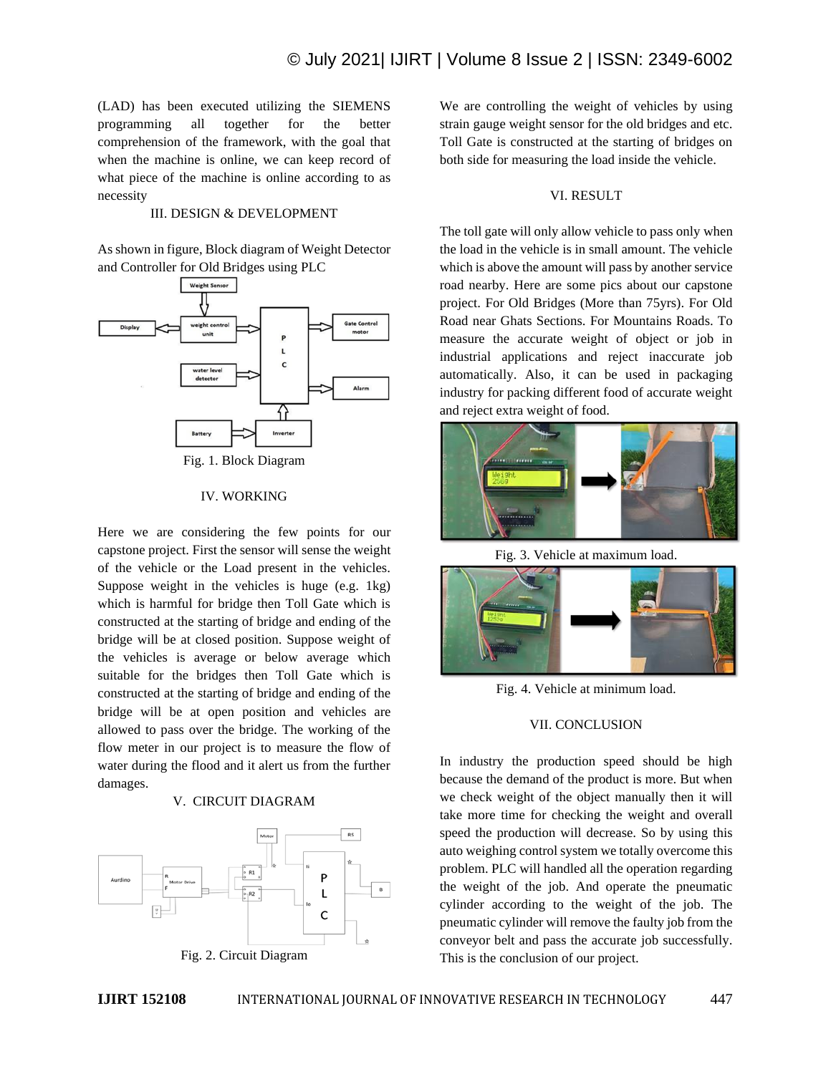(LAD) has been executed utilizing the SIEMENS programming all together for the better comprehension of the framework, with the goal that when the machine is online, we can keep record of what piece of the machine is online according to as necessity

## III. DESIGN & DEVELOPMENT

As shown in figure, Block diagram of Weight Detector and Controller for Old Bridges using PLC



#### IV. WORKING

Here we are considering the few points for our capstone project. First the sensor will sense the weight of the vehicle or the Load present in the vehicles. Suppose weight in the vehicles is huge (e.g. 1kg) which is harmful for bridge then Toll Gate which is constructed at the starting of bridge and ending of the bridge will be at closed position. Suppose weight of the vehicles is average or below average which suitable for the bridges then Toll Gate which is constructed at the starting of bridge and ending of the bridge will be at open position and vehicles are allowed to pass over the bridge. The working of the flow meter in our project is to measure the flow of water during the flood and it alert us from the further damages.

#### V. CIRCUIT DIAGRAM



We are controlling the weight of vehicles by using strain gauge weight sensor for the old bridges and etc. Toll Gate is constructed at the starting of bridges on both side for measuring the load inside the vehicle.

### VI. RESULT

The toll gate will only allow vehicle to pass only when the load in the vehicle is in small amount. The vehicle which is above the amount will pass by another service road nearby. Here are some pics about our capstone project. For Old Bridges (More than 75yrs). For Old Road near Ghats Sections. For Mountains Roads. To measure the accurate weight of object or job in industrial applications and reject inaccurate job automatically. Also, it can be used in packaging industry for packing different food of accurate weight and reject extra weight of food.



Fig. 3. Vehicle at maximum load.



Fig. 4. Vehicle at minimum load.

## VII. CONCLUSION

In industry the production speed should be high because the demand of the product is more. But when we check weight of the object manually then it will take more time for checking the weight and overall speed the production will decrease. So by using this auto weighing control system we totally overcome this problem. PLC will handled all the operation regarding the weight of the job. And operate the pneumatic cylinder according to the weight of the job. The pneumatic cylinder will remove the faulty job from the conveyor belt and pass the accurate job successfully. This is the conclusion of our project.